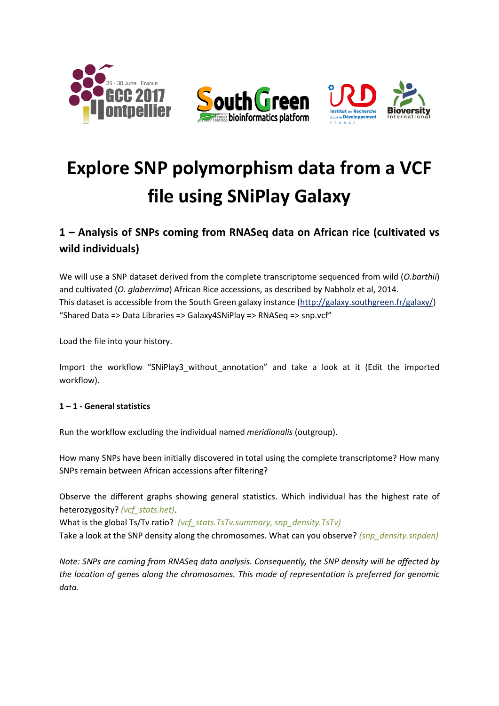

# **Explore SNP polymorphism data from a VCF file using SNiPlay Galaxy**

## **1 – Analysis of SNPs coming from RNASeq data on African rice (cultivated vs wild individuals)**

We will use a SNP dataset derived from the complete transcriptome sequenced from wild (*O.barthii*) and cultivated (*O. glaberrima*) African Rice accessions, as described by Nabholz et al, 2014. This dataset is accessible from the South Green galaxy instance (http://galaxy.southgreen.fr/galaxy/) "Shared Data => Data Libraries => Galaxy4SNiPlay => RNASeq => snp.vcf"

Load the file into your history.

Import the workflow "SNiPlay3\_without\_annotation" and take a look at it (Edit the imported workflow).

#### **1 – 1 - General statistics**

Run the workflow excluding the individual named *meridionalis* (outgroup).

How many SNPs have been initially discovered in total using the complete transcriptome? How many SNPs remain between African accessions after filtering?

Observe the different graphs showing general statistics. Which individual has the highest rate of heterozygosity? *(vcf\_stats.het)*.

What is the global Ts/Tv ratio? *(vcf stats.TsTv.summary, snp\_density.TsTv)* 

Take a look at the SNP density along the chromosomes. What can you observe? *(snp\_density.snpden)*

*Note: SNPs are coming from RNASeq data analysis. Consequently, the SNP density will be affected by the location of genes along the chromosomes. This mode of representation is preferred for genomic data.*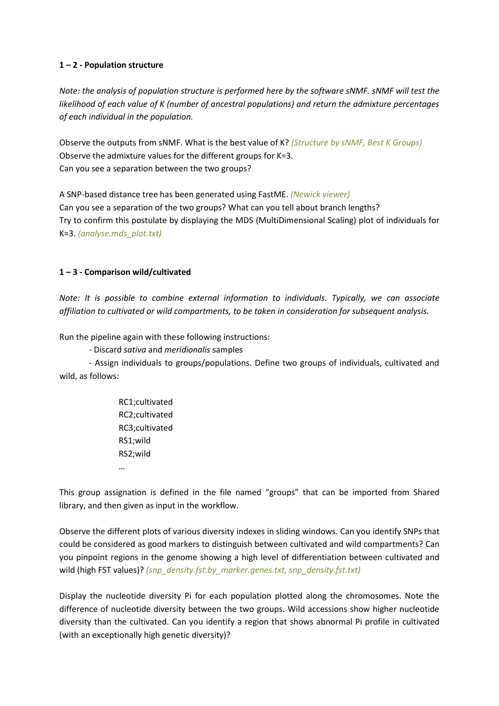#### **1 – 2 - Population structure**

*Note: the analysis of population structure is performed here by the software sNMF. sNMF will test the likelihood of each value of K (number of ancestral populations) and return the admixture percentages of each individual in the population.*

Observe the outputs from sNMF. What is the best value of K? *(Structure by sNMF, Best K Groups)* Observe the admixture values for the different groups for K=3. Can you see a separation between the two groups?

A SNP-based distance tree has been generated using FastME. *(Newick viewer)* Can you see a separation of the two groups? What can you tell about branch lengths? Try to confirm this postulate by displaying the MDS (MultiDimensional Scaling) plot of individuals for K=3. *(analyse.mds\_plot.txt)*

#### **1 – 3 - Comparison wild/cultivated**

*Note: It is possible to combine external information to individuals. Typically, we can associate affiliation to cultivated or wild compartments, to be taken in consideration for subsequent analysis.*

Run the pipeline again with these following instructions:

- Discard *sativa* and *meridionalis* samples

- Assign individuals to groups/populations. Define two groups of individuals, cultivated and wild, as follows:

> RC1;cultivated RC2;cultivated RC3;cultivated RS1;wild RS2;wild

…

This group assignation is defined in the file named "groups" that can be imported from Shared library, and then given as input in the workflow.

Observe the different plots of various diversity indexes in sliding windows. Can you identify SNPs that could be considered as good markers to distinguish between cultivated and wild compartments? Can you pinpoint regions in the genome showing a high level of differentiation between cultivated and wild (high FST values)? *(snp\_density.fst.by\_marker.genes.txt, snp\_density.fst.txt)* 

Display the nucleotide diversity Pi for each population plotted along the chromosomes. Note the difference of nucleotide diversity between the two groups. Wild accessions show higher nucleotide diversity than the cultivated. Can you identify a region that shows abnormal Pi profile in cultivated (with an exceptionally high genetic diversity)?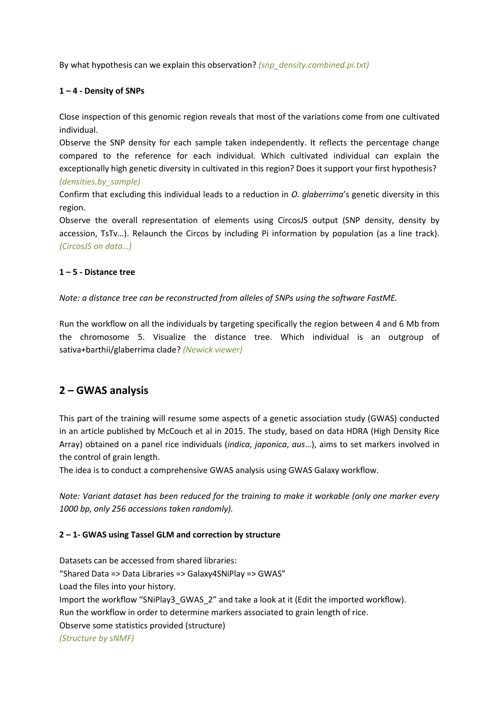By what hypothesis can we explain this observation? *(snp\_density.combined.pi.txt)*

#### **1 – 4 - Density of SNPs**

Close inspection of this genomic region reveals that most of the variations come from one cultivated individual.

Observe the SNP density for each sample taken independently. It reflects the percentage change compared to the reference for each individual. Which cultivated individual can explain the exceptionally high genetic diversity in cultivated in this region? Does it support your first hypothesis?

*(densities.by\_sample)*

Confirm that excluding this individual leads to a reduction in *O. glaberrima*'s genetic diversity in this region.

Observe the overall representation of elements using CircosJS output (SNP density, density by accession, TsTv…). Relaunch the Circos by including Pi information by population (as a line track). *(CircosJS on data…)*

#### **1 – 5 - Distance tree**

*Note: a distance tree can be reconstructed from alleles of SNPs using the software FastME.*

Run the workflow on all the individuals by targeting specifically the region between 4 and 6 Mb from the chromosome 5. Visualize the distance tree. Which individual is an outgroup of sativa+barthii/glaberrima clade? *(Newick viewer)*

### **2 – GWAS analysis**

This part of the training will resume some aspects of a genetic association study (GWAS) conducted in an article published by McCouch et al in 2015. The study, based on data HDRA (High Density Rice Array) obtained on a panel rice individuals (*indica*, *japonica*, *aus*…), aims to set markers involved in the control of grain length.

The idea is to conduct a comprehensive GWAS analysis using GWAS Galaxy workflow.

*Note: Variant dataset has been reduced for the training to make it workable (only one marker every 1000 bp, only 256 accessions taken randomly).*

#### **2 – 1- GWAS using Tassel GLM and correction by structure**

Datasets can be accessed from shared libraries: "Shared Data => Data Libraries => Galaxy4SNiPlay => GWAS" Load the files into your history. Import the workflow "SNiPlay3\_GWAS\_2" and take a look at it (Edit the imported workflow). Run the workflow in order to determine markers associated to grain length of rice. Observe some statistics provided (structure) *(Structure by sNMF)*